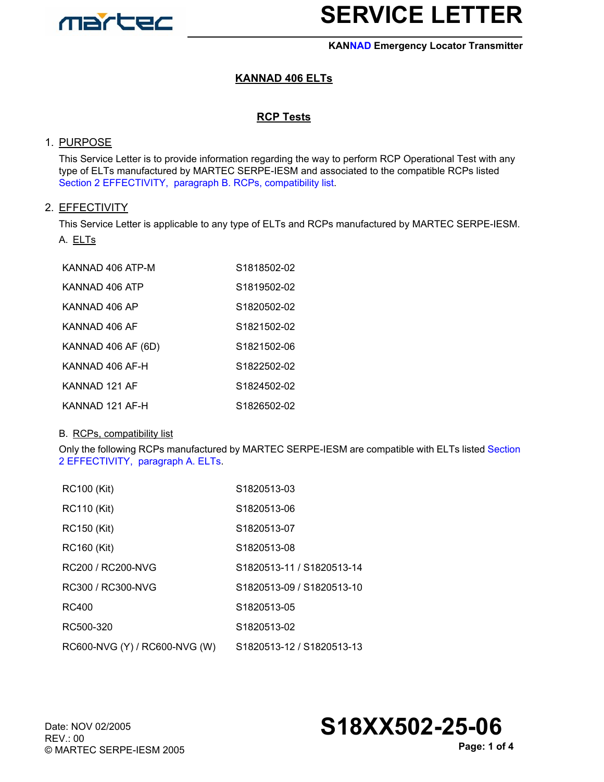

#### **KANNAD Emergency Locator Transmitter**

## **KANNAD 406 ELTs**

### **RCP Tests**

### 1. PURPOSE

This Service Letter is to provide information regarding the way to perform RCP Operational Test with any type of ELTs manufactured by MARTEC SERPE-IESM and associated to the compatible RCPs listed Section 2 EFFECTIVITY, [paragraph B. RCPs, compatibility list.](#page-0-0)

### 2. EFFECTIVITY

<span id="page-0-1"></span>This Service Letter is applicable to any type of ELTs and RCPs manufactured by MARTEC SERPE-IESM. A. ELTs

| KANNAD 406 ATP-M   | S1818502-02 |
|--------------------|-------------|
| KANNAD 406 ATP     | S1819502-02 |
| KANNAD 406 AP      | S1820502-02 |
| KANNAD 406 AF      | S1821502-02 |
| KANNAD 406 AF (6D) | S1821502-06 |
| KANNAD 406 AF-H    | S1822502-02 |
| KANNAD 121 AF      | S1824502-02 |
| KANNAD 121 AF-H    | S1826502-02 |

#### <span id="page-0-0"></span>B. RCPs, compatibility list

Only the following RCPs manufactured by MARTEC SERPE-IESM are compatible with ELTs listed Section 2 EFFECTIVITY, [paragraph A. ELTs](#page-0-1).

| <b>RC100 (Kit)</b>            | S1820513-03               |
|-------------------------------|---------------------------|
| <b>RC110 (Kit)</b>            | S1820513-06               |
| <b>RC150 (Kit)</b>            | S1820513-07               |
| <b>RC160 (Kit)</b>            | S1820513-08               |
| RC200 / RC200-NVG             | S1820513-11 / S1820513-14 |
| RC300 / RC300-NVG             | S1820513-09 / S1820513-10 |
| RC400                         | S <sub>1820513-05</sub>   |
| RC500-320                     | S1820513-02               |
| RC600-NVG (Y) / RC600-NVG (W) | S1820513-12 / S1820513-13 |

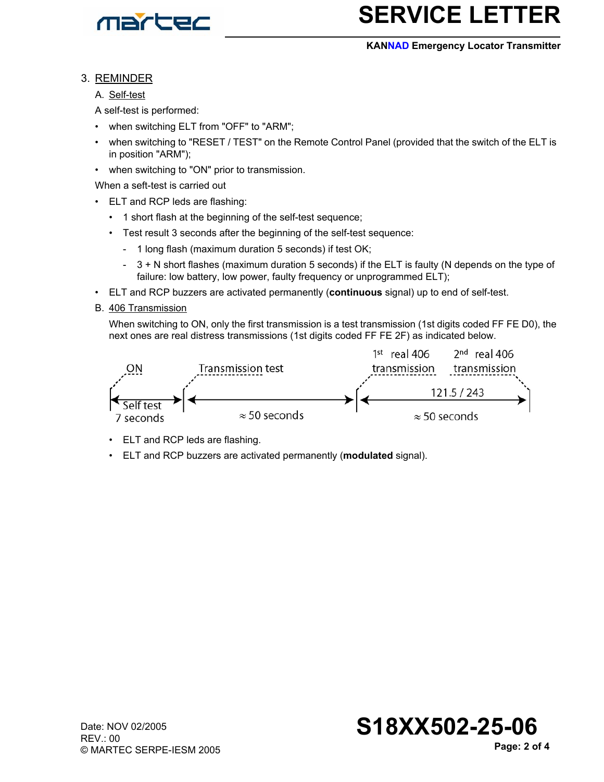

#### **KANNAD Emergency Locator Transmitter**

### 3. REMINDER

A. Self-test

- A self-test is performed:
- when switching ELT from "OFF" to "ARM";
- when switching to "RESET / TEST" on the Remote Control Panel (provided that the switch of the ELT is in position "ARM");
- when switching to "ON" prior to transmission.

When a seft-test is carried out

- ELT and RCP leds are flashing:
	- 1 short flash at the beginning of the self-test sequence;
	- Test result 3 seconds after the beginning of the self-test sequence:
		- 1 long flash (maximum duration 5 seconds) if test OK;
		- 3 + N short flashes (maximum duration 5 seconds) if the ELT is faulty (N depends on the type of failure: low battery, low power, faulty frequency or unprogrammed ELT);
- ELT and RCP buzzers are activated permanently (**continuous** signal) up to end of self-test.
- B. 406 Transmission

When switching to ON, only the first transmission is a test transmission (1st digits coded FF FE D0), the next ones are real distress transmissions (1st digits coded FF FE 2F) as indicated below.



- ELT and RCP leds are flashing.
- ELT and RCP buzzers are activated permanently (**modulated** signal).

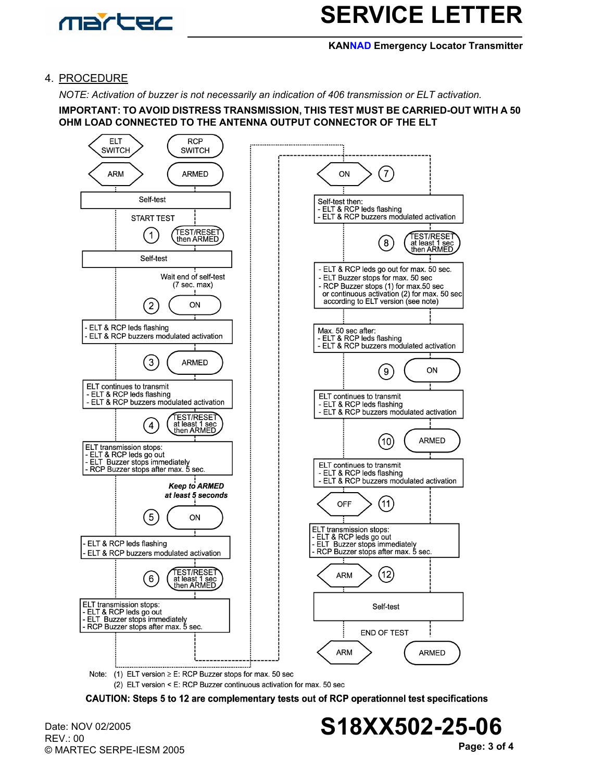

#### **KANNAD Emergency Locator Transmitter**

### 4. PROCEDURE

*NOTE: Activation of buzzer is not necessarily an indication of 406 transmission or ELT activation.*

**IMPORTANT: TO AVOID DISTRESS TRANSMISSION, THIS TEST MUST BE CARRIED-OUT WITH A 50 OHM LOAD CONNECTED TO THE ANTENNA OUTPUT CONNECTOR OF THE ELT**



(2) ELT version < E: RCP Buzzer continuous activation for max. 50 sec

CAUTION: Steps 5 to 12 are complementary tests out of RCP operationnel test specifications

Date: NOV 02/2005 REV.: 00 © MARTEC SERPE-IESM 2005

**Page: 3 of 4 S18XX502-25-06**